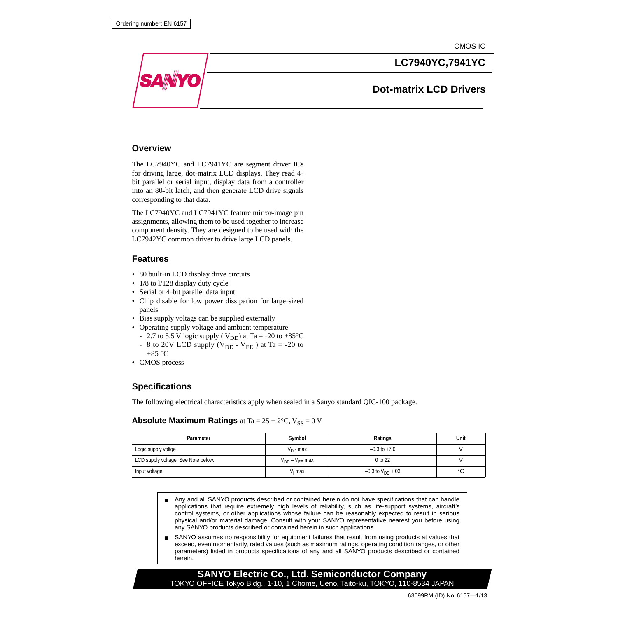CMOS IC



#### **Overview**

The LC7940YC and LC7941YC are segment driver ICs for driving large, dot–matrix LCD displays. They read 4– bit parallel or serial input, display data from a controller into an 80–bit latch, and then generate LCD drive signals corresponding to that data.

The LC7940YC and LC7941YC feature mirror–image pin assignments, allowing them to be used together to increase component density. They are designed to be used with the LC7942YC common driver to drive large LCD panels.

### **Features**

- 80 built-in LCD display drive circuits
- 1/8 to 1/128 display duty cycle
- Serial or 4–bit parallel data input
- Chip disable for low power dissipation for large–sized panels
- Bias supply voltags can be supplied externally
- Operating supply voltage and ambient temperature
	- 2.7 to 5.5 V logic supply (  $V_{DD}$ ) at Ta = -20 to +85°C
	- 8 to 20V LCD supply ( $V_{DD} V_{EE}$ ) at Ta = -20 to
- $+85$  °C • CMOS process

### **Specifications**

The following electrical characteristics apply when sealed in a Sanyo standard QIC-100 package.

#### **Absolute Maximum Ratings** at Ta =  $25 \pm 2^{\circ}$ C, V<sub>SS</sub> = 0 V

| Parameter                           | Symbol                | Ratings                 | Unit |
|-------------------------------------|-----------------------|-------------------------|------|
| Logic supply voltge                 | $V_{DD}$ max          | $-0.3$ to $+7.0$        |      |
| LCD supply voltage, See Note below. | $V_{DD} - V_{FF}$ max | 0 to 22                 |      |
| Input voltage                       | $V1$ max              | $-0.3$ to $V_{DD}$ + 03 | °C   |

- Any and all SANYO products described or contained herein do not have specifications that can handle applications that require extremely high levels of reliability, such as life-support systems, aircraft's control systems, or other applications whose failure can be reasonably expected to result in serious physical and/or material damage. Consult with your SANYO representative nearest you before using any SANYO products described or contained herein in such applications.
- SANYO assumes no responsibility for equipment failures that result from using products at values that exceed, even momentarily, rated values (such as maximum ratings, operating condition ranges, or other parameters) listed in products specifications of any and all SANYO products described or contained herein.

#### **SANYO Electric Co., Ltd. Semiconductor Company** TOKYO OFFICE Tokyo Bldg., 1-10, 1 Chome, Ueno, Taito-ku, TOKYO, 110-8534 JAPAN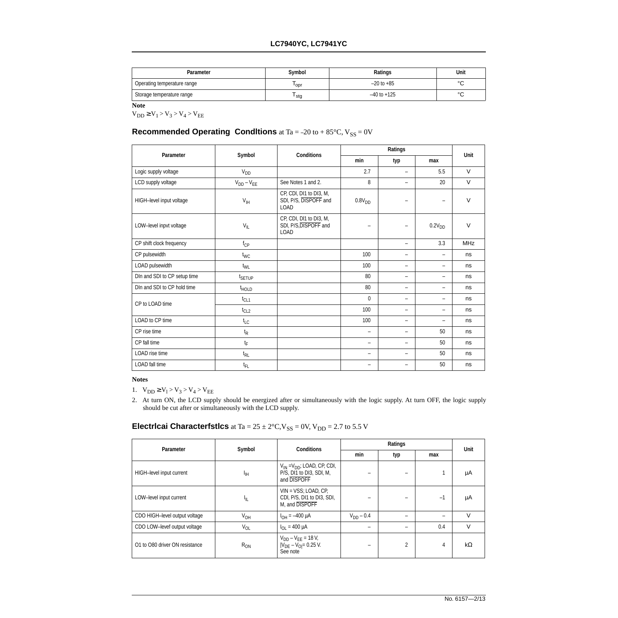| <b>Parameter</b>            | Symbol                 | Ratings         | Unit    |  |
|-----------------------------|------------------------|-----------------|---------|--|
| Operating temperature range | $-20$ to $+85$<br>'opr |                 |         |  |
| Storage temperature range   | stg                    | $-40$ to $+125$ | ∘∼<br>ັ |  |

**Note**

 $V_{DD} \ge V_1 > V_3 > V_4 > V_{EE}$ 

### **Recommended Operating Conditions** at Ta = -20 to +  $85^{\circ}$ C,  $V_{SS} = 0V$

| Parameter                    | Symbol                      | <b>Conditions</b>                                               |                    | Ratings                  |                          |             |  |
|------------------------------|-----------------------------|-----------------------------------------------------------------|--------------------|--------------------------|--------------------------|-------------|--|
|                              |                             |                                                                 | min                | typ                      | max                      | <b>Unit</b> |  |
| Logic supply voltage         | <b>V<sub>DD</sub></b>       |                                                                 | 2.7                | $\qquad \qquad -$        | 5.5                      | $\vee$      |  |
| LCD supply voltage           | $V_{DD} - V_{EE}$           | See Notes 1 and 2.                                              | 8                  | $\qquad \qquad -$        | 20                       | $\vee$      |  |
| HIGH-level input voltage     | $V_{\text{IH}}$             | CP, CDI, DI1 to DI3, M,<br>SDI, P/S, DISPOFF and<br><b>LOAD</b> | 0.8V <sub>DD</sub> | $\overline{\phantom{0}}$ | $\overline{\phantom{0}}$ | $\vee$      |  |
| LOW-level inpvt voltage      | $V_{IL}$                    | CP, CDI, DI1 to DI3, M,<br>SDI, P/S, DISPOFF and<br><b>LOAD</b> | -                  | $\overline{\phantom{0}}$ | 0.2V <sub>DD</sub>       | $\vee$      |  |
| CP shift clock frequency     | $f_{\text{CP}}$             |                                                                 |                    | $\qquad \qquad -$        | 3.3                      | <b>MHz</b>  |  |
| CP pulsewidth                | $t_{WC}$                    |                                                                 | 100                | -                        | Ξ.                       | ns          |  |
| LOAD pulsewidth              | t <sub>WL</sub>             |                                                                 | 100                | $\qquad \qquad -$        | $\qquad \qquad -$        | ns          |  |
| DIn and SDI to CP setup time | t <sub>SETUP</sub>          |                                                                 | 80                 | $\overline{\phantom{0}}$ | Ξ.                       | ns          |  |
| DIn and SDI to CP hold time  | <sup>t</sup> HOLD           |                                                                 | 80                 | $\overline{\phantom{0}}$ | Ξ.                       | ns          |  |
| CP to LOAD time              | $t_{CL1}$                   |                                                                 | $\mathbf{0}$       | $\overline{\phantom{0}}$ | Ξ.                       | ns          |  |
|                              | $t_{CL2}$                   |                                                                 | 100                | $\overline{\phantom{0}}$ | Ξ.                       | ns          |  |
| LOAD to CP time              | $t_{LC}$                    |                                                                 | 100                | $\qquad \qquad -$        | $\overline{\phantom{0}}$ | ns          |  |
| CP rise time                 | $\mathfrak{t}_{\mathsf{R}}$ |                                                                 | -                  | $\qquad \qquad -$        | 50                       | ns          |  |
| CP fall time                 | $t_{\mathsf{F}}$            |                                                                 | -                  | -                        | 50                       | ns          |  |
| LOAD rise time               | t <sub>RL</sub>             |                                                                 | -                  | $\qquad \qquad -$        | 50                       | ns          |  |
| <b>LOAD</b> fall time        | t <sub>FL</sub>             |                                                                 | -                  | $\qquad \qquad$          | 50                       | ns          |  |

#### **Notes**

1.  $V_{DD} \ge V_1 > V_3 > V_4 > V_{EE}$ 

2. At turn ON, the LCD supply should be energized after or simultaneously with the logic supply. At turn OFF, the logic supply should be cut after or simultaneously with the LCD supply.

# **Electricai Characterfstlcs** at Ta =  $25 \pm 2^{\circ}$ C, V<sub>SS</sub> = 0V, V<sub>DD</sub> = 2.7 to 5.5 V

| Parameter                      | Symbol<br><b>Conditions</b> |                                                                                             |                   | Unit                     |      |           |
|--------------------------------|-----------------------------|---------------------------------------------------------------------------------------------|-------------------|--------------------------|------|-----------|
|                                |                             |                                                                                             | min<br>typ<br>max |                          |      |           |
| HIGH-level input current       | ŀщ                          | $V_{\text{IN}} = V_{\text{DD}}$ ; LOAD, CP, CDI,<br>P/S, DI1 to DI3, SDI, M,<br>and DISPOFF |                   |                          |      | μA        |
| LOW-level input current        | 址                           | $VIN = VSS$ ; LOAD, CP,<br>CDI, P/S, DI1 to DI3, SDI,<br>M. and DISPOFF                     | -                 |                          | $-1$ | μA        |
| CDO HIGH-level output voltage  | V <sub>OH</sub>             | $I_{OH} = -400 \mu A$                                                                       | $V_{DD} - 0.4$    | $\overline{\phantom{0}}$ | -    | $\vee$    |
| CDO LOW-levef output voltage   | $V_{OL}$                    | $I_{\Omega I} = 400 \mu A$                                                                  | -                 | -                        | 0.4  | $\vee$    |
| O1 to O80 driver ON resistance | $R_{ON}$                    | $V_{DD} - V_{EE} = 18 V,$<br>$ V_{DE} - V_{O}  = 0.25$ V.<br>See note                       | -                 | $\overline{2}$           | 4    | $k\Omega$ |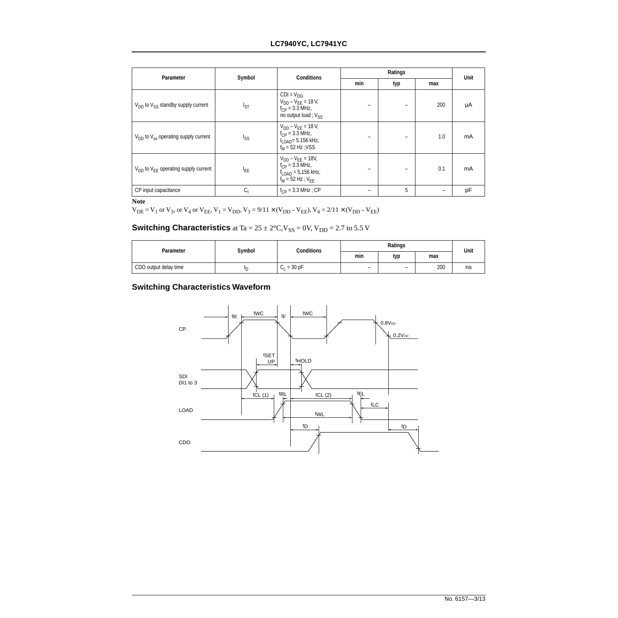### **LC7940YC, LC7941YC**

| Parameter                                     | Symbol          | <b>Conditions</b>                                                                                                       |                   | Ratings |      |    |  |
|-----------------------------------------------|-----------------|-------------------------------------------------------------------------------------------------------------------------|-------------------|---------|------|----|--|
|                                               |                 |                                                                                                                         | min<br>typ<br>max |         | Unit |    |  |
| $V_{DD}$ to $V_{SS}$ standby supply current   | <sup>I</sup> ST | $CDI = V_{DD}$<br>$V_{DD} - V_{EE} = 18 V$ ,<br>$f_{CP} = 3.3$ MHz,<br>no output load; Vss                              |                   | -       | 200  | μA |  |
| $V_{DD}$ to $V_{ss}$ operating supply current | I <sub>SS</sub> | $V_{DD} - V_{FF} = 18 V$ ,<br>$f_{CP} = 3.3$ MHz,<br>$I_{\text{LOAD}} = 5.156 \text{ kHz}$<br>$f_M$ = 52 Hz; VSS        |                   |         | 1.0  | mA |  |
| $V_{DD}$ to $V_{FF}$ operating supply current | <b>LEE</b>      | $V_{DD} - V_{FF} = 18V$ ,<br>$f_{CP} = 3.3$ MHz,<br>$f_{\text{LOAD}} = 5,156 \text{ kHz},$<br>$f_{M}$ = 52 Hz; $V_{FF}$ |                   | -       | 0.1  | mA |  |
| CP input capacitance                          | $C_{\vert}$     | $f_{CP} = 3.3 \text{ MHz}$ ; CP                                                                                         | -                 | 5       |      | pF |  |

**Note**

 $V_{DE} = V_1$  or  $V_3$ , or  $V_4$  or  $V_{EE}$ ,  $V_1 = V_{DD}$ ,  $V_3 = 9/11 \times (V_{DD} - V_{EE})$ ,  $V_4 = 2/11 \times (V_{DD} - V_{EE})$ 

# **Switching Characteristics** at Ta =  $25 \pm 2^{\circ}$ C, V<sub>SS</sub> = 0V, V<sub>DD</sub> = 2.7 to 5.5 V

| <b>Parameter</b>      | Symbol  | <b>Conditions</b> |                          | Unit |     |    |
|-----------------------|---------|-------------------|--------------------------|------|-----|----|
|                       |         |                   | min                      | typ  | max |    |
| CDO output delay time | ιr<br>┕ | $= 30 pF$<br>ارا  | $\overline{\phantom{0}}$ | -    | 200 | ns |

### **Switching Characteristics Waveform**

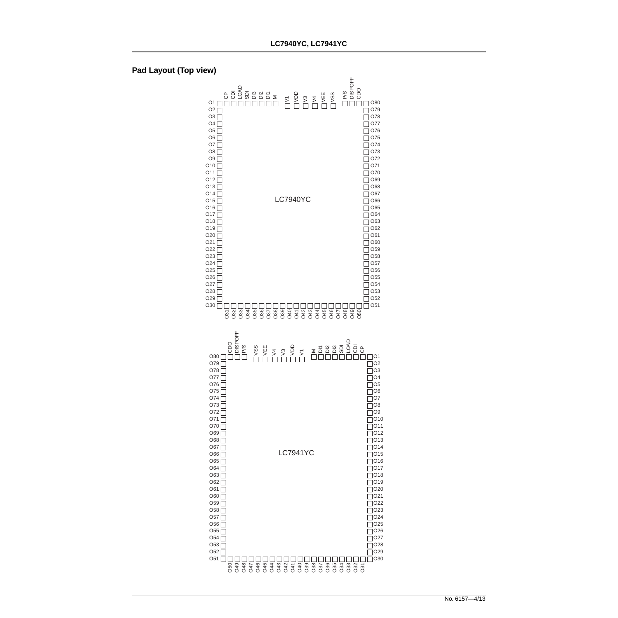

#### **Pad Layout (Top view)**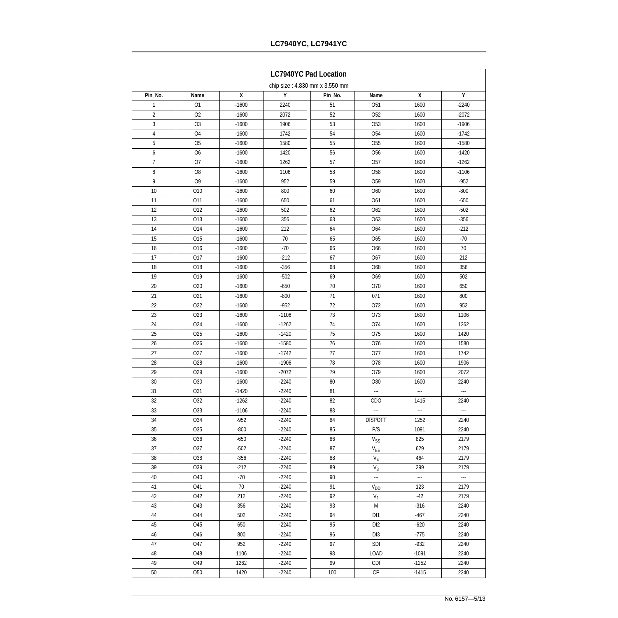| <b>LC7940YC Pad Location</b>   |                 |              |                  |          |                                    |                  |              |  |  |
|--------------------------------|-----------------|--------------|------------------|----------|------------------------------------|------------------|--------------|--|--|
| chip size: 4.830 mm x 3.550 mm |                 |              |                  |          |                                    |                  |              |  |  |
| Pin_No.                        | Name            | $\pmb{\chi}$ | Υ                | Pin_No.  | Name                               | X                | Υ            |  |  |
| $\mathbf{1}$                   | O1              | $-1600$      | 2240             | 51       | O <sub>51</sub>                    | 1600             | $-2240$      |  |  |
| $\overline{2}$                 | O <sub>2</sub>  | $-1600$      | 2072             | 52       | O <sub>52</sub>                    | 1600             | $-2072$      |  |  |
| 3                              | O <sub>3</sub>  | $-1600$      | 1906             | 53       | O <sub>53</sub>                    | 1600             | $-1906$      |  |  |
| 4                              | O <sub>4</sub>  | $-1600$      | 1742             | 54       | <b>O54</b>                         | 1600             | $-1742$      |  |  |
| 5                              | O <sub>5</sub>  | $-1600$      | 1580             | 55       | O <sub>55</sub>                    | 1600             | $-1580$      |  |  |
| 6                              | O <sub>6</sub>  | $-1600$      | 1420             | 56       | O <sub>56</sub>                    | 1600             | $-1420$      |  |  |
| 7                              | O7              | $-1600$      | 1262             | 57       | <b>O57</b>                         | 1600             | $-1262$      |  |  |
| 8                              | O <sub>8</sub>  | $-1600$      | 1106             | 58       | O <sub>58</sub>                    | 1600             | $-1106$      |  |  |
| 9                              | O <sub>9</sub>  | $-1600$      | 952              | 59       | O <sub>59</sub>                    | 1600             | $-952$       |  |  |
| 10                             | O10             | $-1600$      | 800              | 60       | O60                                | 1600             | $-800$       |  |  |
| 11                             | O11             | $-1600$      | 650              | 61       | O61                                | 1600             | $-650$       |  |  |
| 12                             | 012             | $-1600$      | 502              | 62       | O62                                | 1600             | $-502$       |  |  |
| 13                             | 013             | $-1600$      | 356              | 63       | O63                                | 1600             | $-356$       |  |  |
| 14                             | 014             | $-1600$      | 212              | 64       | O64                                | 1600             | $-212$       |  |  |
| 15                             | O <sub>15</sub> | $-1600$      | 70               | 65       | O65                                | 1600             | $-70$        |  |  |
| 16                             | O16             | $-1600$      | $-70$            | 66       | O66                                | 1600             | 70           |  |  |
| 17                             | 017             | $-1600$      | $-212$           | 67       | O67                                | 1600             | 212          |  |  |
| 18                             | O18             | $-1600$      | $-356$           | 68       | O68                                | 1600             | 356          |  |  |
| 19                             | O19             | $-1600$      | $-502$           | 69       | O69                                | 1600             | 502          |  |  |
| 20                             | O <sub>20</sub> | $-1600$      | $-650$           | 70       | O70                                | 1600             | 650          |  |  |
| 21                             | 021             | $-1600$      | $-800$           | 71       | 071                                | 1600             | 800          |  |  |
| 22                             | O22             | $-1600$      | $-952$           | 72       | 072                                | 1600             | 952          |  |  |
| 23                             | O <sub>23</sub> | $-1600$      | $-1106$          | 73       | O73                                | 1600             | 1106         |  |  |
| 24                             | O24             | $-1600$      | $-1262$          | 74       | 074                                | 1600             | 1262         |  |  |
| 25                             | 025             | $-1600$      | $-1420$          | 75       | 075                                | 1600             | 1420         |  |  |
| 26                             | O <sub>26</sub> | $-1600$      | $-1580$          | 76       | 076                                | 1600             | 1580         |  |  |
| 27                             | <b>O27</b>      | $-1600$      | $-1742$          | 77       | 077                                | 1600             | 1742         |  |  |
| 28                             | O28             | $-1600$      | $-1906$          | 78       | O78                                | 1600             | 1906         |  |  |
| 29                             | O29             | $-1600$      | $-2072$          | 79       | O79                                | 1600             | 2072         |  |  |
| 30                             | O30             | $-1600$      | $-2240$          | 80       | O80                                | 1600             | 2240         |  |  |
| 31                             | O31             | $-1420$      | $-2240$          | 81       | ---                                | ---              | ---          |  |  |
| 32                             | 032             | $-1262$      | $-2240$          | 82       | CDO                                | 1415             | 2240         |  |  |
| 33                             | <b>O33</b>      | $-1106$      | $-2240$          | 83       | ---                                | ---              | $\sim$       |  |  |
| 34                             | 034             | $-952$       | $-2240$          | 84       | <b>DISPOFF</b>                     | 1252             | 2240         |  |  |
| 35                             | O <sub>35</sub> | $-800$       | $-2240$          | 85       | P/S                                | 1091             | 2240         |  |  |
| 36                             | O <sub>36</sub> | $-650$       | $-2240$          | 86       | $\mathrm{V}_{\mathrm{SS}}$         | 825              | 2179         |  |  |
| 37                             | 037             | $-502$       | $-2240$          | 87       | $V_{EE}$                           | 629              | 2179         |  |  |
| 38                             | O38             | $-356$       | $-2240$          | 88       | $V_4$                              | 464              | 2179         |  |  |
| 39                             | O39             | $-212$       | $-2240$          | 89       | $V_3$                              | 299              | 2179         |  |  |
| 40                             | O40             | $-70$        | $-2240$          | 90       | ---                                | $\sim$           |              |  |  |
| 41                             | O41             | 70           | $-2240$          | 91       | $\rm V_{DD}$                       | 123              | 2179         |  |  |
| 42                             | 042             | 212          | $-2240$          | 92       | $V_1$                              | $-42$            | 2179         |  |  |
| 43                             | 043             | 356          | $-2240$          | 93       | M                                  | $-316$           | 2240         |  |  |
| 44                             | 044             | 502          | $-2240$          | 94       | DI1                                | $-467$           | 2240         |  |  |
| 45<br>46                       | O45<br>O46      | 650<br>800   | -2240<br>$-2240$ | 95<br>96 | DI <sub>2</sub><br>DI <sub>3</sub> | $-620$<br>$-775$ | 2240<br>2240 |  |  |
| 47                             | 047             | 952          | $-2240$          | 97       | <b>SDI</b>                         | $-932$           | 2240         |  |  |
| 48                             | O48             | 1106         | $-2240$          | 98       | LOAD                               | $-1091$          | 2240         |  |  |
| 49                             | O49             | 1262         | $-2240$          | 99       | CDI                                | $-1252$          | 2240         |  |  |
| 50                             | <b>O50</b>      | 1420         | $-2240$          | 100      | <b>CP</b>                          | $-1415$          | 2240         |  |  |
|                                |                 |              |                  |          |                                    |                  |              |  |  |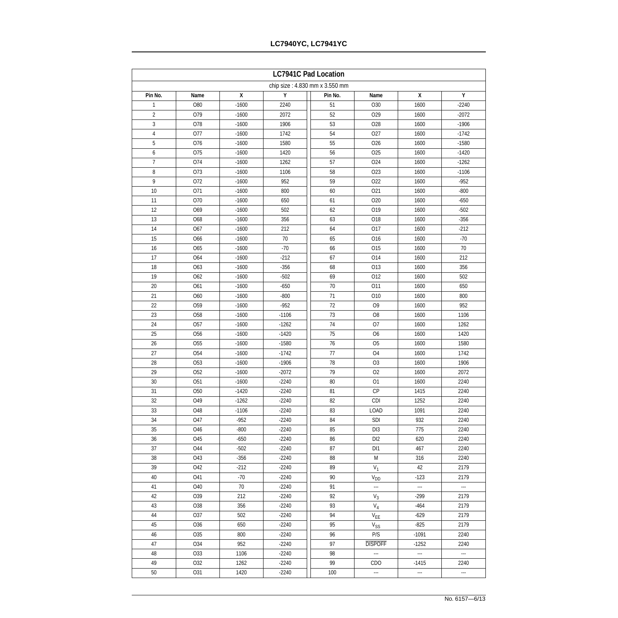| <b>LC7941C Pad Location</b> |                                |              |         |         |                            |                          |         |  |  |
|-----------------------------|--------------------------------|--------------|---------|---------|----------------------------|--------------------------|---------|--|--|
|                             | chip size: 4.830 mm x 3.550 mm |              |         |         |                            |                          |         |  |  |
| Pin No.                     | Name                           | $\pmb{\chi}$ | Υ       | Pin No. | Name                       | X                        | Υ       |  |  |
| $\mathbf{1}$                | O80                            | $-1600$      | 2240    | 51      | O30                        | 1600                     | $-2240$ |  |  |
| 2                           | O79                            | $-1600$      | 2072    | 52      | O29                        | 1600                     | $-2072$ |  |  |
| 3                           | O78                            | $-1600$      | 1906    | 53      | O28                        | 1600                     | $-1906$ |  |  |
| 4                           | 077                            | $-1600$      | 1742    | 54      | 027                        | 1600                     | $-1742$ |  |  |
| 5                           | O76                            | $-1600$      | 1580    | 55      | O <sub>26</sub>            | 1600                     | $-1580$ |  |  |
| 6                           | O75                            | $-1600$      | 1420    | 56      | O <sub>25</sub>            | 1600                     | $-1420$ |  |  |
| 7                           | O74                            | $-1600$      | 1262    | 57      | O24                        | 1600                     | $-1262$ |  |  |
| 8                           | 073                            | $-1600$      | 1106    | 58      | O <sub>23</sub>            | 1600                     | $-1106$ |  |  |
| 9                           | 072                            | $-1600$      | 952     | 59      | 022                        | 1600                     | $-952$  |  |  |
| 10                          | O71                            | $-1600$      | 800     | 60      | O21                        | 1600                     | $-800$  |  |  |
| 11                          | O70                            | $-1600$      | 650     | 61      | O20                        | 1600                     | $-650$  |  |  |
| 12                          | O69                            | $-1600$      | 502     | 62      | O19                        | 1600                     | $-502$  |  |  |
| 13                          | O68                            | $-1600$      | 356     | 63      | O18                        | 1600                     | $-356$  |  |  |
| 14                          | O67                            | $-1600$      | 212     | 64      | O17                        | 1600                     | $-212$  |  |  |
| 15                          | O66                            | $-1600$      | 70      | 65      | O16                        | 1600                     | $-70$   |  |  |
| 16                          | O65                            | $-1600$      | $-70$   | 66      | O <sub>15</sub>            | 1600                     | 70      |  |  |
| 17                          | O64                            | $-1600$      | $-212$  | 67      | 014                        | 1600                     | 212     |  |  |
| 18                          | O63                            | $-1600$      | $-356$  | 68      | 013                        | 1600                     | 356     |  |  |
| 19                          | O62                            | $-1600$      | $-502$  | 69      | 012                        | 1600                     | 502     |  |  |
| 20                          | O61                            | $-1600$      | $-650$  | 70      | O11                        | 1600                     | 650     |  |  |
| 21                          | O60                            | $-1600$      | $-800$  | 71      | O10                        | 1600                     | 800     |  |  |
| 22                          | O <sub>59</sub>                | $-1600$      | $-952$  | 72      | O <sub>9</sub>             | 1600                     | 952     |  |  |
| 23                          | O <sub>58</sub>                | $-1600$      | $-1106$ | 73      | O <sub>8</sub>             | 1600                     | 1106    |  |  |
| 24                          | <b>O57</b>                     | $-1600$      | $-1262$ | 74      | O7                         | 1600                     | 1262    |  |  |
| 25                          | O <sub>56</sub>                | $-1600$      | $-1420$ | 75      | O <sub>6</sub>             | 1600                     | 1420    |  |  |
| 26                          | O <sub>55</sub>                | $-1600$      | $-1580$ | 76      | O <sub>5</sub>             | 1600                     | 1580    |  |  |
| 27                          | O <sub>54</sub>                | $-1600$      | $-1742$ | 77      | O <sub>4</sub>             | 1600                     | 1742    |  |  |
| 28                          | O <sub>53</sub>                | $-1600$      | $-1906$ | 78      | O <sub>3</sub>             | 1600                     | 1906    |  |  |
| 29                          | O <sub>52</sub>                | $-1600$      | $-2072$ | 79      | O <sub>2</sub>             | 1600                     | 2072    |  |  |
| 30                          | O <sub>51</sub>                | $-1600$      | $-2240$ | 80      | O <sub>1</sub>             | 1600                     | 2240    |  |  |
| 31                          | O <sub>50</sub>                | $-1420$      | $-2240$ | 81      | CP                         | 1415                     | 2240    |  |  |
| 32                          | O49                            | $-1262$      | $-2240$ | 82      | <b>CDI</b>                 | 1252                     | 2240    |  |  |
| 33                          | O48                            | $-1106$      | $-2240$ | 83      | LOAD                       | 1091                     | 2240    |  |  |
| 34                          | <b>O47</b>                     | $-952$       | $-2240$ | 84      | SDI                        | 932                      | 2240    |  |  |
| 35                          | O46                            | $-800$       | $-2240$ | 85      | DI3                        | 775                      | 2240    |  |  |
| 36                          | O45                            | $-650$       | $-2240$ | 86      | DI <sub>2</sub>            | 620                      | 2240    |  |  |
| 37                          | 044                            | $-502$       | $-2240$ | 87      | DI <sub>1</sub>            | 467                      | 2240    |  |  |
| 38                          | O43                            | $-356$       | $-2240$ | 88      | M                          | 316                      | 2240    |  |  |
| 39                          | 042                            | $-212$       | $-2240$ | 89      | $V_1$                      | 42                       | 2179    |  |  |
| 40                          | O41                            | $-70$        | $-2240$ | 90      |                            | $-123$                   | 2179    |  |  |
| 41                          | O40                            | 70           | $-2240$ | 91      | $V_{DD}$<br>               | ---                      | ---     |  |  |
| 42                          | O39                            | 212          | $-2240$ | 92      |                            | $-299$                   | 2179    |  |  |
| 43                          | O38                            | 356          | $-2240$ | 93      | $V_3$<br>$\mathsf{V}_4$    | $-464$                   | 2179    |  |  |
| 44                          | 037                            | 502          | $-2240$ | 94      | $\mathsf{V}_{\mathsf{EE}}$ | $-629$                   | 2179    |  |  |
| 45                          | O36                            | 650          | $-2240$ | 95      |                            | $-825$                   | 2179    |  |  |
| 46                          | O <sub>35</sub>                | 800          | $-2240$ | 96      | $V_{SS}$<br>P/S            | $-1091$                  | 2240    |  |  |
| 47                          | O34                            | 952          | $-2240$ | 97      | <b>DISPOFF</b>             | $-1252$                  | 2240    |  |  |
| 48                          | O33                            | 1106         | $-2240$ | 98      | ---                        | $\overline{\phantom{a}}$ | ---     |  |  |
| 49                          | O32                            | 1262         | $-2240$ | 99      | <b>CDO</b>                 |                          | 2240    |  |  |
|                             |                                |              |         |         |                            | $-1415$                  |         |  |  |
| 50                          | O31                            | 1420         | $-2240$ | 100     | ---                        | $\overline{\phantom{a}}$ | ---     |  |  |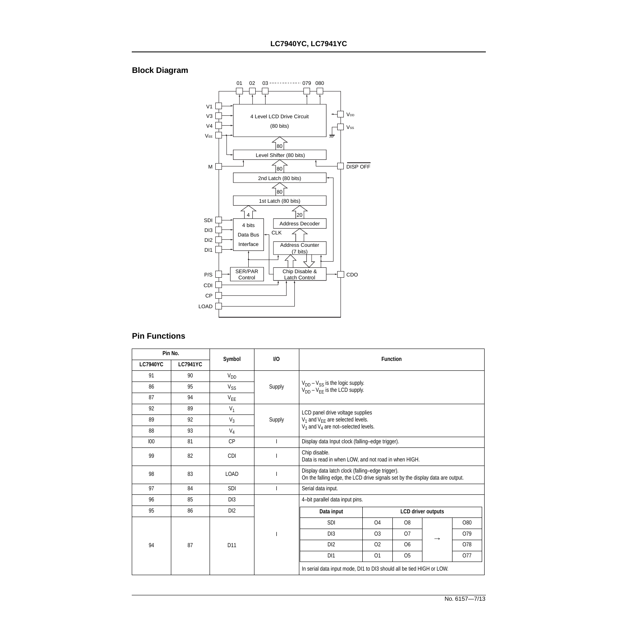### **Block Diagram**



### **Pin Functions**

|                 | Pin No.         | Symbol          | <b>VO</b> | <b>Function</b>                                                                |                                                                                                                                    |                |                           |            |  |  |  |
|-----------------|-----------------|-----------------|-----------|--------------------------------------------------------------------------------|------------------------------------------------------------------------------------------------------------------------------------|----------------|---------------------------|------------|--|--|--|
| <b>LC7940YC</b> | <b>LC7941YC</b> |                 |           |                                                                                |                                                                                                                                    |                |                           |            |  |  |  |
| 91              | 90              | $V_{DD}$        |           |                                                                                |                                                                                                                                    |                |                           |            |  |  |  |
| 86              | 95              | $V_{SS}$        | Supply    | $V_{DD} - V_{SS}$ is the logic supply.<br>$V_{DD} - V_{EF}$ is the LCD supply. |                                                                                                                                    |                |                           |            |  |  |  |
| 87              | 94              | $V_{EE}$        |           |                                                                                |                                                                                                                                    |                |                           |            |  |  |  |
| 92              | 89              | $V_1$           |           | LCD panel drive voltage supplies                                               |                                                                                                                                    |                |                           |            |  |  |  |
| 89              | 92              | $V_3$           | Supply    |                                                                                | $V_1$ and $V_{EE}$ are selected levels.                                                                                            |                |                           |            |  |  |  |
| 88              | 93              | $V_4$           |           | $V_3$ and $V_4$ are not-selected levels.                                       |                                                                                                                                    |                |                           |            |  |  |  |
| 100             | 81              | <b>CP</b>       |           |                                                                                | Display data Input clock (falling-edge trigger).                                                                                   |                |                           |            |  |  |  |
| 99              | 82              | <b>CDI</b>      |           | Chip disable.<br>Data is read in when LOW, and not road in when HIGH.          |                                                                                                                                    |                |                           |            |  |  |  |
| 98              | 83              | <b>LOAD</b>     |           |                                                                                | Display data latch clock (falling-edge trigger).<br>On the falling edge, the LCD drive signals set by the display data are output. |                |                           |            |  |  |  |
| 97              | 84              | <b>SDI</b>      |           | Serial data input.                                                             |                                                                                                                                    |                |                           |            |  |  |  |
| 96              | 85              | D <sub>13</sub> |           | 4-bit parallel data input pins.                                                |                                                                                                                                    |                |                           |            |  |  |  |
| 95              | 86              | D <sub>12</sub> |           | Data input                                                                     |                                                                                                                                    |                | <b>LCD driver outputs</b> |            |  |  |  |
|                 |                 |                 |           | SDI                                                                            | O <sub>4</sub>                                                                                                                     | O <sub>8</sub> |                           | O80        |  |  |  |
|                 |                 |                 |           | D <sub>13</sub>                                                                | O <sub>3</sub>                                                                                                                     | O <sub>7</sub> | $\rightarrow$             | O79        |  |  |  |
| 94              | 87              | D <sub>11</sub> |           | D <sub>12</sub>                                                                | <b>O2</b>                                                                                                                          | O <sub>6</sub> |                           | <b>O78</b> |  |  |  |
|                 |                 |                 |           | D <sub>11</sub>                                                                | O <sub>1</sub>                                                                                                                     | O <sub>5</sub> |                           | O77        |  |  |  |
|                 |                 |                 |           | In serial data input mode, DI1 to DI3 should all be tied HIGH or LOW.          |                                                                                                                                    |                |                           |            |  |  |  |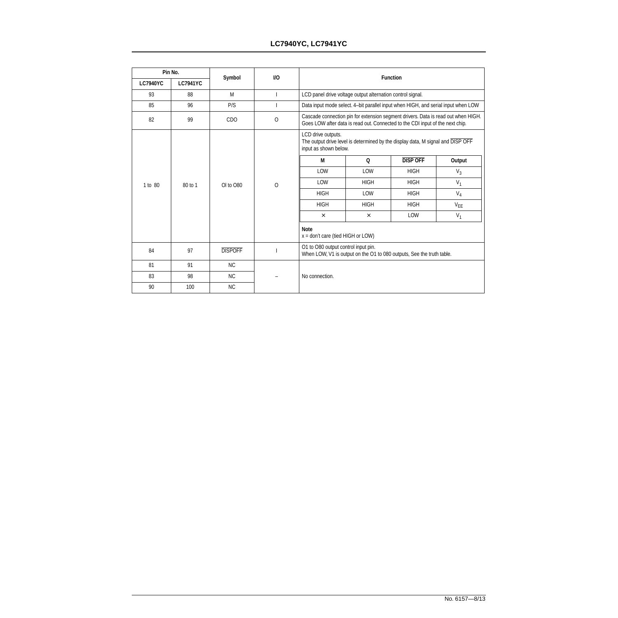### **LC7940YC, LC7941YC**

|                 | Pin No.         |                | <b>I/O</b> | <b>Function</b>                                                                                                                |                                                                                                                                                                    |                                                                                   |          |  |  |  |  |  |             |     |             |
|-----------------|-----------------|----------------|------------|--------------------------------------------------------------------------------------------------------------------------------|--------------------------------------------------------------------------------------------------------------------------------------------------------------------|-----------------------------------------------------------------------------------|----------|--|--|--|--|--|-------------|-----|-------------|
| <b>LC7940YC</b> | <b>LC7941YC</b> | Symbol         |            |                                                                                                                                |                                                                                                                                                                    |                                                                                   |          |  |  |  |  |  |             |     |             |
| 93              | 88              | M              |            |                                                                                                                                | LCD panel drive voltage output alternation control signal.                                                                                                         |                                                                                   |          |  |  |  |  |  |             |     |             |
| 85              | 96              | P/S            |            |                                                                                                                                |                                                                                                                                                                    | Data input mode select. 4-bit parallel input when HIGH, and serial input when LOW |          |  |  |  |  |  |             |     |             |
| 82              | 99              | <b>CDO</b>     | $\circ$    |                                                                                                                                | Cascade connection pin for extension segment drivers. Data is read out when HIGH.<br>Goes LOW after data is read out. Connected to the CDI input of the next chip. |                                                                                   |          |  |  |  |  |  |             |     |             |
|                 |                 |                |            | LCD drive outputs.<br>The output drive level is determined by the display data, M signal and DISP OFF<br>input as shown below. |                                                                                                                                                                    |                                                                                   |          |  |  |  |  |  |             |     |             |
|                 |                 |                |            | M                                                                                                                              | Q                                                                                                                                                                  | <b>DISP OFF</b>                                                                   | Output   |  |  |  |  |  |             |     |             |
|                 |                 | OI to O80      |            | LOW                                                                                                                            | LOW                                                                                                                                                                | <b>HIGH</b>                                                                       | $V_3$    |  |  |  |  |  |             |     |             |
| 1 to 80         | 80 to 1         |                | O          | LOW                                                                                                                            | <b>HIGH</b>                                                                                                                                                        | <b>HIGH</b>                                                                       | $V_1$    |  |  |  |  |  |             |     |             |
|                 |                 |                |            |                                                                                                                                |                                                                                                                                                                    |                                                                                   |          |  |  |  |  |  | <b>HIGH</b> | LOW | <b>HIGH</b> |
|                 |                 |                |            | <b>HIGH</b>                                                                                                                    | <b>HIGH</b>                                                                                                                                                        | <b>HIGH</b>                                                                       | $V_{EE}$ |  |  |  |  |  |             |     |             |
|                 |                 |                |            | $\times$                                                                                                                       | $\times$                                                                                                                                                           | LOW                                                                               | $V_1$    |  |  |  |  |  |             |     |             |
|                 |                 |                |            | <b>Note</b><br>$x =$ don't care (tied HIGH or LOW)                                                                             |                                                                                                                                                                    |                                                                                   |          |  |  |  |  |  |             |     |             |
| 84              | 97              | <b>DISPOFF</b> |            | O1 to O80 output control input pin.                                                                                            |                                                                                                                                                                    | When LOW, V1 is output on the O1 to 080 outputs, See the truth table.             |          |  |  |  |  |  |             |     |             |
| 81              | 91              | <b>NC</b>      |            |                                                                                                                                |                                                                                                                                                                    |                                                                                   |          |  |  |  |  |  |             |     |             |
| 83              | 98              | NC.            |            | No connection.                                                                                                                 |                                                                                                                                                                    |                                                                                   |          |  |  |  |  |  |             |     |             |
| 90              | 100             | <b>NC</b>      |            |                                                                                                                                |                                                                                                                                                                    |                                                                                   |          |  |  |  |  |  |             |     |             |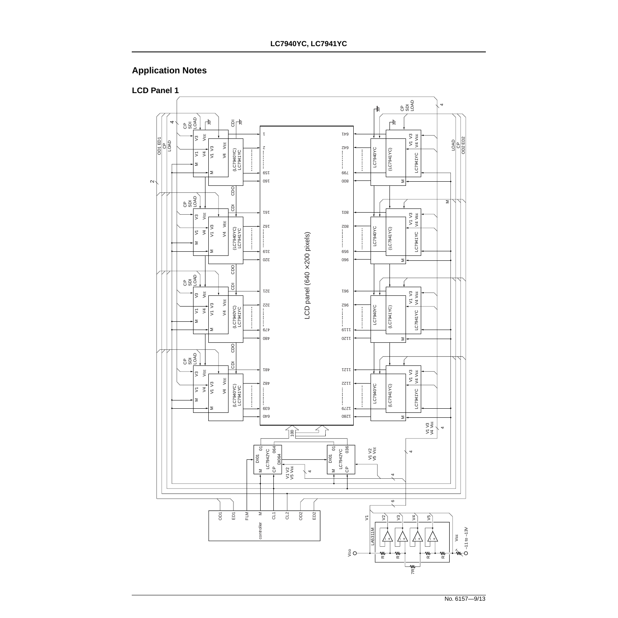## **Application Notes**



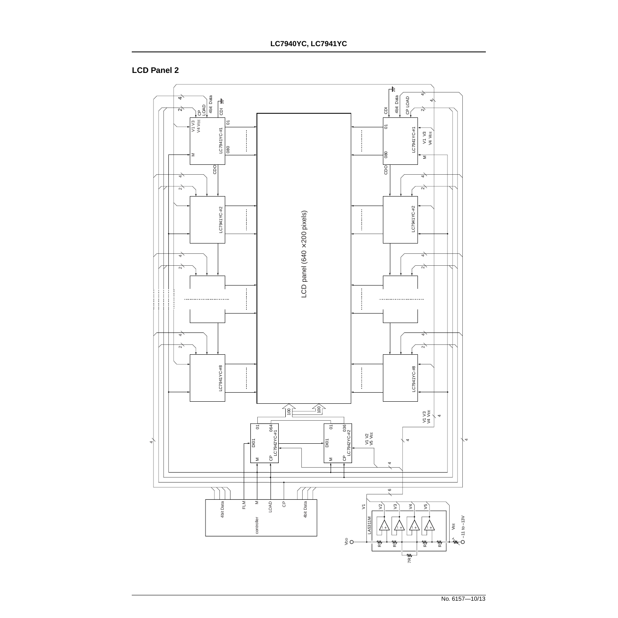### **LCD Panel 2**

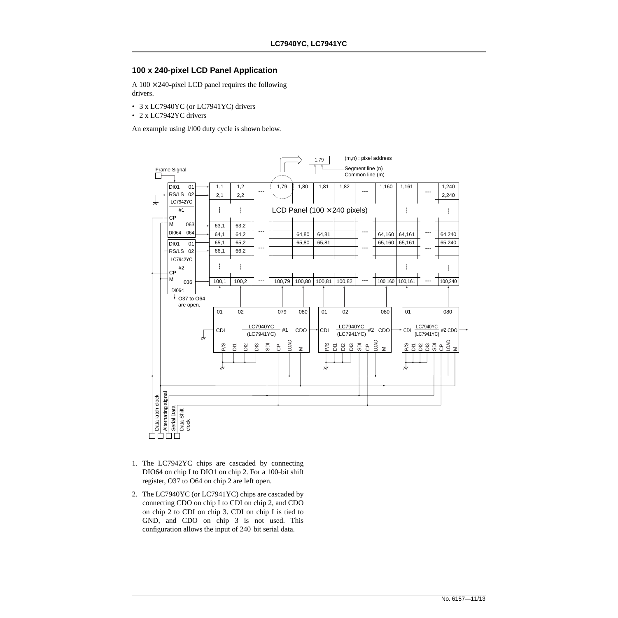### **100 x 240-pixel LCD Panel Application**

A  $100 \times 240$ -pixel LCD panel requires the following drivers.

- 3 x LC7940YC (or LC7941YC) drivers
- 2 x LC7942YC drivers

An example using l/l00 duty cycle is shown below.



- 1. The LC7942YC chips are cascaded by connecting DIO64 on chip I to DIO1 on chip 2. For a 100–bit shift register, O37 to O64 on chip 2 are left open.
- 2. The LC7940YC (or LC7941YC) chips are cascaded by connecting CDO on chip I to CDI on chip 2, and CDO on chip 2 to CDI on chip 3. CDI on chip I is tied to GND, and CDO on chip 3 is not used. This configuration allows the input of 240–bit serial data.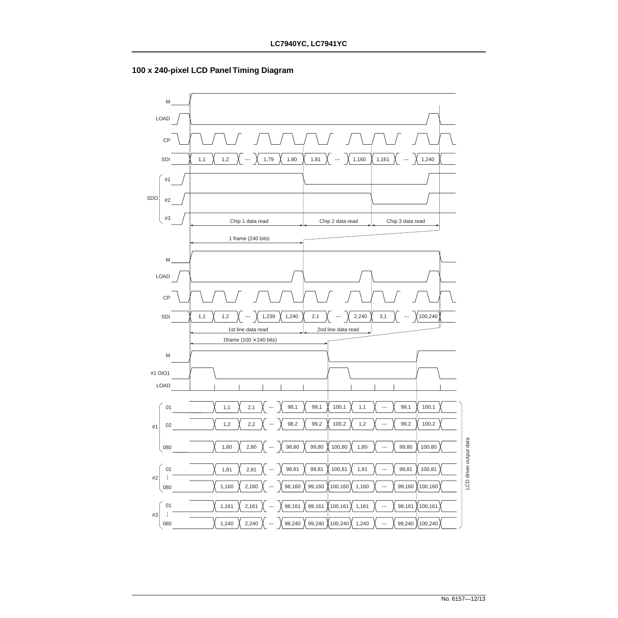

**100 x 240-pixel LCD Panel Timing Diagram**